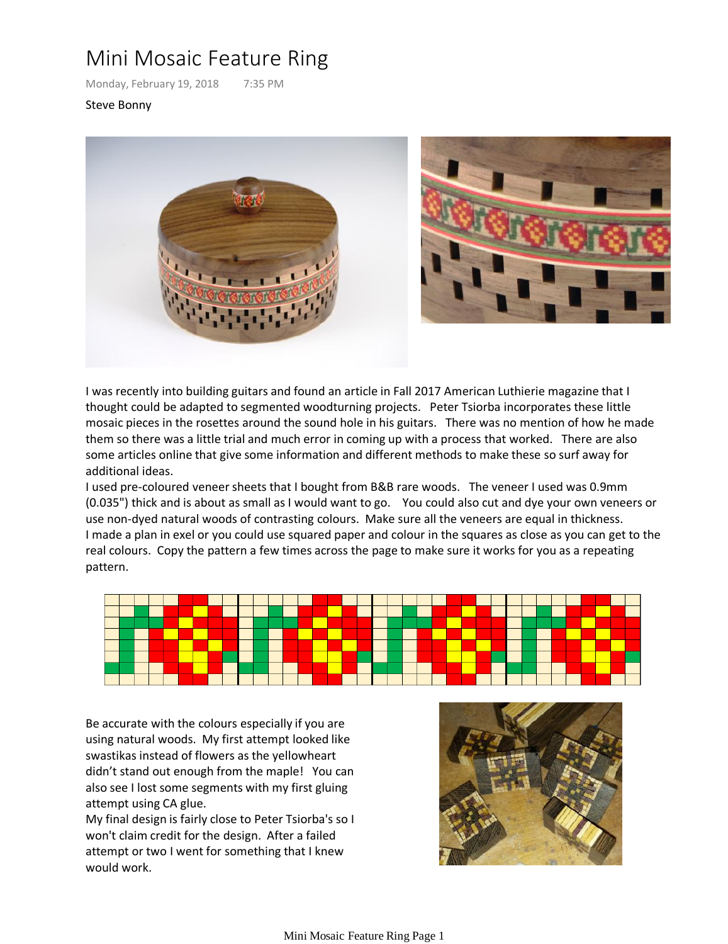## Mini Mosaic Feature Ring

Monday, February 19, 2018 7:35 PM

## Steve Bonny



I was recently into building guitars and found an article in Fall 2017 American Luthierie magazine that I thought could be adapted to segmented woodturning projects. Peter Tsiorba incorporates these little mosaic pieces in the rosettes around the sound hole in his guitars. There was no mention of how he made them so there was a little trial and much error in coming up with a process that worked. There are also some articles online that give some information and different methods to make these so surf away for additional ideas.

I used pre-coloured veneer sheets that I bought from B&B rare woods. The veneer I used was 0.9mm (0.035") thick and is about as small as I would want to go. You could also cut and dye your own veneers or use non-dyed natural woods of contrasting colours. Make sure all the veneers are equal in thickness. I made a plan in exel or you could use squared paper and colour in the squares as close as you can get to the real colours. Copy the pattern a few times across the page to make sure it works for you as a repeating pattern.



Be accurate with the colours especially if you are using natural woods. My first attempt looked like swastikas instead of flowers as the yellowheart didn't stand out enough from the maple! You can also see I lost some segments with my first gluing attempt using CA glue.

My final design is fairly close to Peter Tsiorba's so I won't claim credit for the design. After a failed attempt or two I went for something that I knew would work.

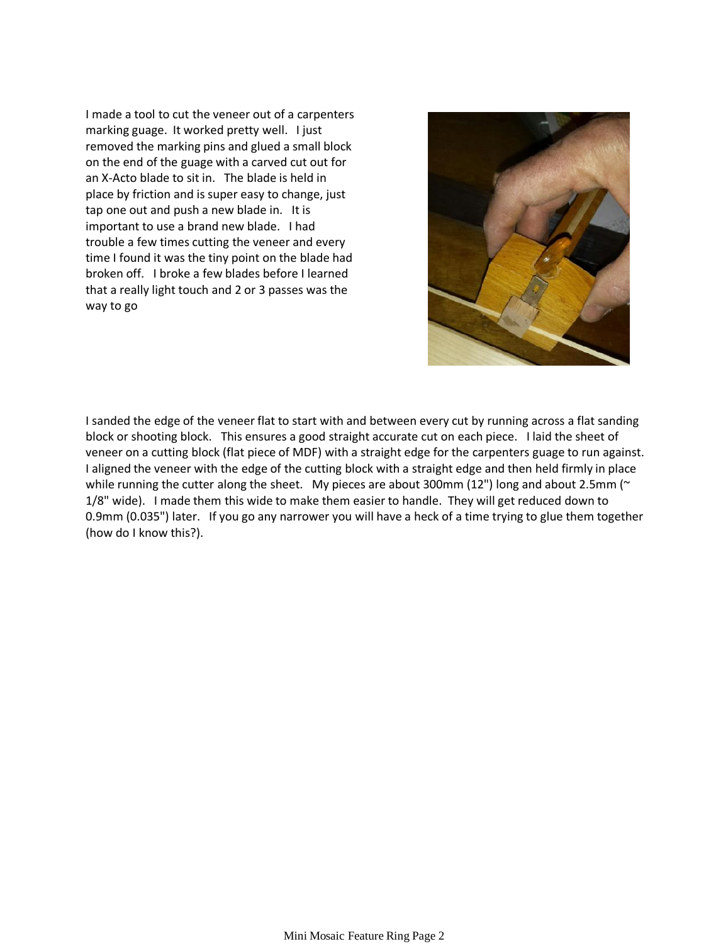I made a tool to cut the veneer out of a carpenters marking guage. It worked pretty well. I just removed the marking pins and glued a small block on the end of the guage with a carved cut out for an X-Acto blade to sit in. The blade is held in place by friction and is super easy to change, just tap one out and push a new blade in. It is important to use a brand new blade. I had trouble a few times cutting the veneer and every time I found it was the tiny point on the blade had broken off. I broke a few blades before I learned that a really light touch and 2 or 3 passes was the way to go



I sanded the edge of the veneer flat to start with and between every cut by running across a flat sanding block or shooting block. This ensures a good straight accurate cut on each piece. I laid the sheet of veneer on a cutting block (flat piece of MDF) with a straight edge for the carpenters guage to run against. I aligned the veneer with the edge of the cutting block with a straight edge and then held firmly in place while running the cutter along the sheet. My pieces are about 300mm (12") long and about 2.5mm (~ 1/8" wide). I made them this wide to make them easier to handle. They will get reduced down to 0.9mm (0.035") later. If you go any narrower you will have a heck of a time trying to glue them together (how do I know this?).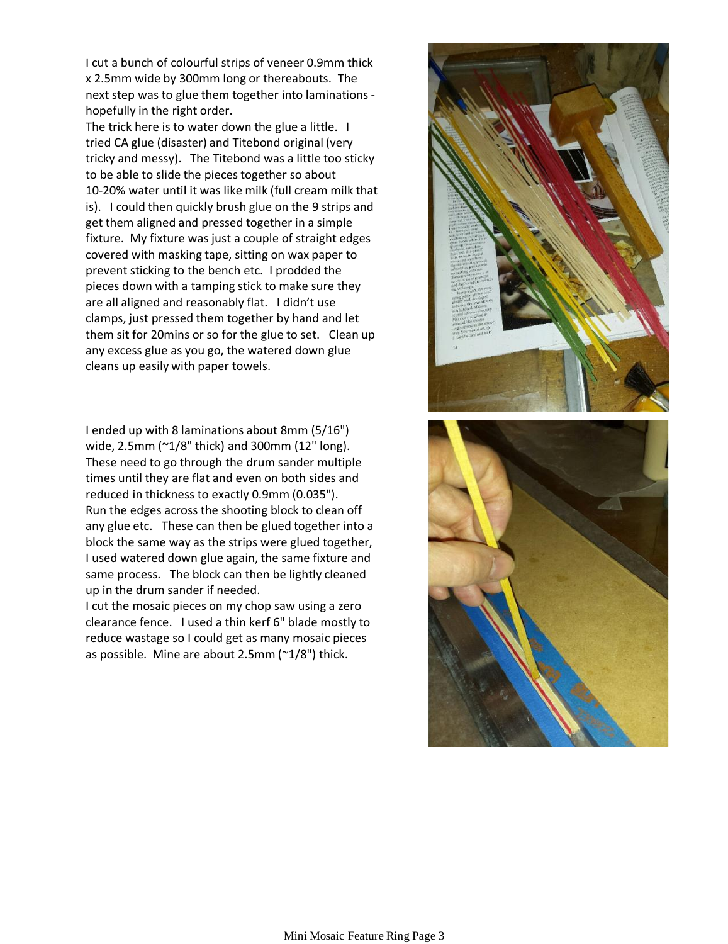I cut a bunch of colourful strips of veneer 0.9mm thick x 2.5mm wide by 300mm long or thereabouts. The next step was to glue them together into laminations hopefully in the right order.

The trick here is to water down the glue a little. I tried CA glue (disaster) and Titebond original (very tricky and messy). The Titebond was a little too sticky to be able to slide the pieces together so about 10-20% water until it was like milk (full cream milk that is). I could then quickly brush glue on the 9 strips and get them aligned and pressed together in a simple fixture. My fixture was just a couple of straight edges covered with masking tape, sitting on wax paper to prevent sticking to the bench etc. I prodded the pieces down with a tamping stick to make sure they are all aligned and reasonably flat. I didn't use clamps, just pressed them together by hand and let them sit for 20mins or so for the glue to set. Clean up any excess glue as you go, the watered down glue cleans up easily with paper towels.

I ended up with 8 laminations about 8mm (5/16") wide, 2.5mm (~1/8" thick) and 300mm (12" long). These need to go through the drum sander multiple times until they are flat and even on both sides and reduced in thickness to exactly 0.9mm (0.035"). Run the edges across the shooting block to clean off any glue etc. These can then be glued together into a block the same way as the strips were glued together, I used watered down glue again, the same fixture and same process. The block can then be lightly cleaned up in the drum sander if needed.

I cut the mosaic pieces on my chop saw using a zero clearance fence. I used a thin kerf 6" blade mostly to reduce wastage so I could get as many mosaic pieces as possible. Mine are about 2.5mm (~1/8") thick.



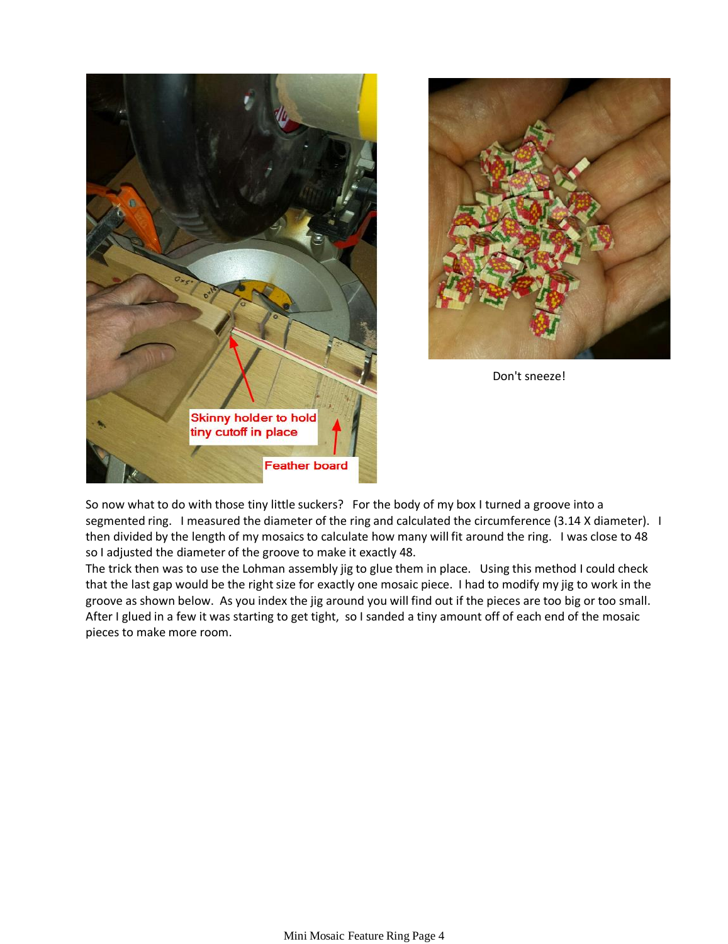



Don't sneeze!

So now what to do with those tiny little suckers? For the body of my box I turned a groove into a segmented ring. I measured the diameter of the ring and calculated the circumference (3.14 X diameter). I then divided by the length of my mosaics to calculate how many will fit around the ring. I was close to 48 so I adjusted the diameter of the groove to make it exactly 48.

The trick then was to use the Lohman assembly jig to glue them in place. Using this method I could check that the last gap would be the right size for exactly one mosaic piece. I had to modify my jig to work in the groove as shown below. As you index the jig around you will find out if the pieces are too big or too small. After I glued in a few it was starting to get tight, so I sanded a tiny amount off of each end of the mosaic pieces to make more room.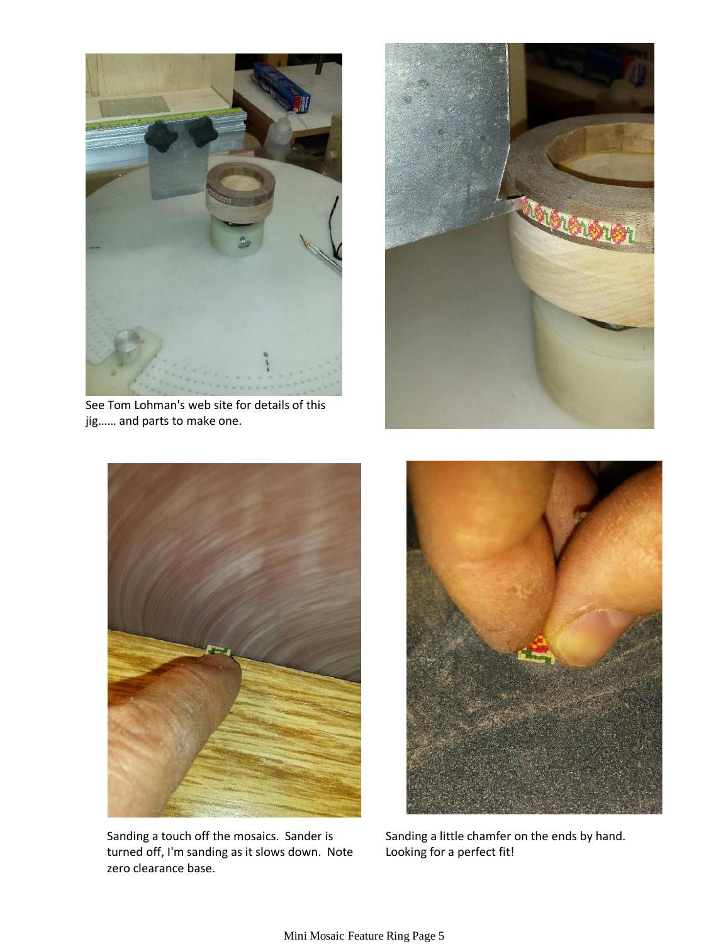

See Tom Lohman's web site for details of this jig…… and parts to make one.





Sanding a touch off the mosaics. Sander is turned off, I'm sanding as it slows down. Note zero clearance base.



Sanding a little chamfer on the ends by hand. Looking for a perfect fit!